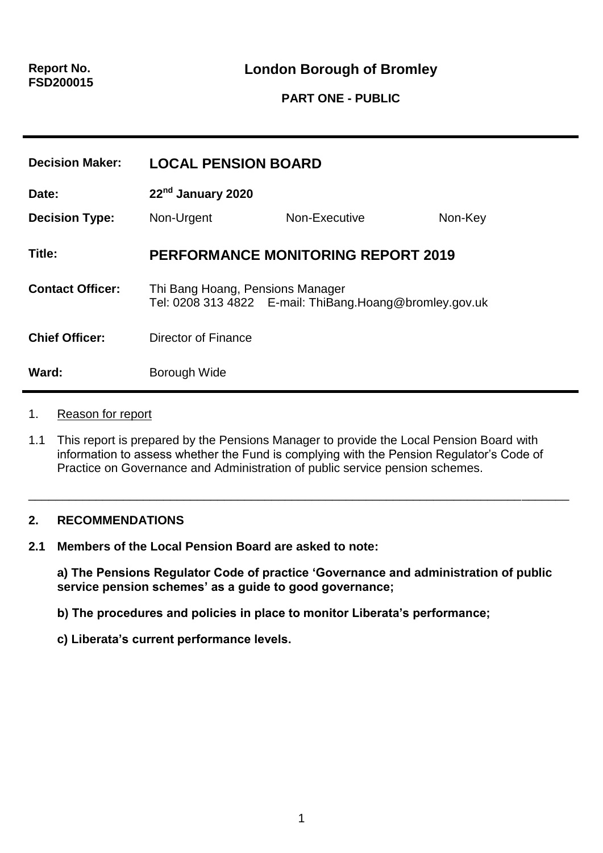#### **PART ONE - PUBLIC**

| <b>Decision Maker:</b>  | <b>LOCAL PENSION BOARD</b>                |                                                          |         |
|-------------------------|-------------------------------------------|----------------------------------------------------------|---------|
| Date:                   | 22nd January 2020                         |                                                          |         |
| <b>Decision Type:</b>   | Non-Urgent                                | Non-Executive                                            | Non-Key |
| Title:                  | <b>PERFORMANCE MONITORING REPORT 2019</b> |                                                          |         |
| <b>Contact Officer:</b> | Thi Bang Hoang, Pensions Manager          | Tel: 0208 313 4822  E-mail: ThiBang.Hoang@bromley.gov.uk |         |
| <b>Chief Officer:</b>   | Director of Finance                       |                                                          |         |
| Ward:                   | Borough Wide                              |                                                          |         |

#### 1. Reason for report

1.1 This report is prepared by the Pensions Manager to provide the Local Pension Board with information to assess whether the Fund is complying with the Pension Regulator's Code of Practice on Governance and Administration of public service pension schemes.

\_\_\_\_\_\_\_\_\_\_\_\_\_\_\_\_\_\_\_\_\_\_\_\_\_\_\_\_\_\_\_\_\_\_\_\_\_\_\_\_\_\_\_\_\_\_\_\_\_\_\_\_\_\_\_\_\_\_\_\_\_\_\_\_\_\_\_\_\_\_\_\_\_\_\_\_\_\_\_\_

#### **2. RECOMMENDATIONS**

#### **2.1 Members of the Local Pension Board are asked to note:**

**a) The Pensions Regulator Code of practice 'Governance and administration of public service pension schemes' as a guide to good governance;**

- **b) The procedures and policies in place to monitor Liberata's performance;**
- **c) Liberata's current performance levels.**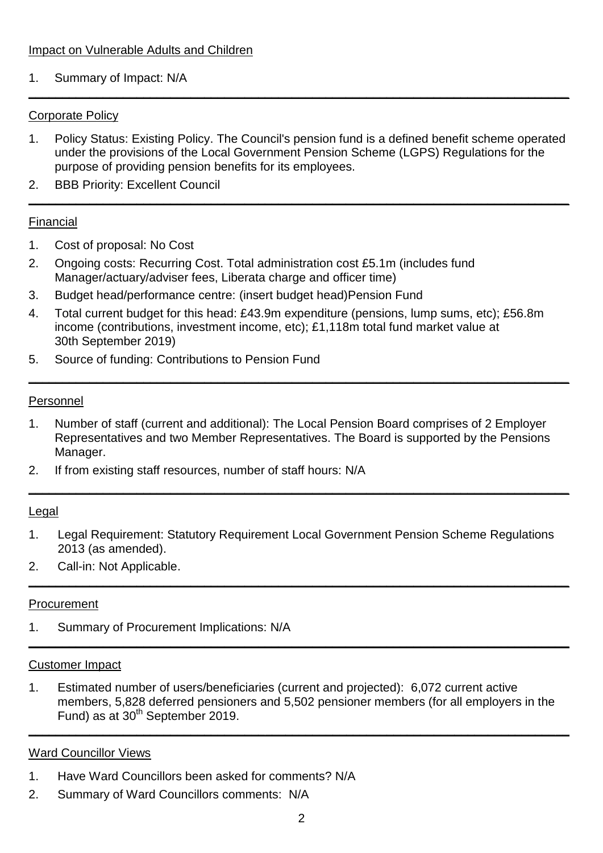1. Summary of Impact: N/A

## Corporate Policy

1. Policy Status: Existing Policy. The Council's pension fund is a defined benefit scheme operated under the provisions of the Local Government Pension Scheme (LGPS) Regulations for the purpose of providing pension benefits for its employees.

**\_\_\_\_\_\_\_\_\_\_\_\_\_\_\_\_\_\_\_\_\_\_\_\_\_\_\_\_\_\_\_\_\_\_\_\_\_\_\_\_\_\_\_\_\_\_\_\_\_\_\_\_\_\_\_\_\_\_\_\_\_\_\_\_\_\_\_\_\_\_\_\_\_\_\_\_\_\_\_\_**

**\_\_\_\_\_\_\_\_\_\_\_\_\_\_\_\_\_\_\_\_\_\_\_\_\_\_\_\_\_\_\_\_\_\_\_\_\_\_\_\_\_\_\_\_\_\_\_\_\_\_\_\_\_\_\_\_\_\_\_\_\_\_\_\_\_\_\_\_\_\_\_\_\_\_\_\_\_\_\_\_**

2. BBB Priority: Excellent Council

## Financial

- 1. Cost of proposal: No Cost
- 2. Ongoing costs: Recurring Cost. Total administration cost £5.1m (includes fund Manager/actuary/adviser fees, Liberata charge and officer time)
- 3. Budget head/performance centre: (insert budget head)Pension Fund
- 4. Total current budget for this head: £43.9m expenditure (pensions, lump sums, etc); £56.8m income (contributions, investment income, etc); £1,118m total fund market value at 30th September 2019)
- 5. Source of funding: Contributions to Pension Fund

## Personnel

1. Number of staff (current and additional): The Local Pension Board comprises of 2 Employer Representatives and two Member Representatives. The Board is supported by the Pensions Manager.

**\_\_\_\_\_\_\_\_\_\_\_\_\_\_\_\_\_\_\_\_\_\_\_\_\_\_\_\_\_\_\_\_\_\_\_\_\_\_\_\_\_\_\_\_\_\_\_\_\_\_\_\_\_\_\_\_\_\_\_\_\_\_\_\_\_\_\_\_\_\_\_\_\_\_\_\_\_\_\_\_**

2. If from existing staff resources, number of staff hours: N/A

## Legal

1. Legal Requirement: Statutory Requirement Local Government Pension Scheme Regulations 2013 (as amended).

**\_\_\_\_\_\_\_\_\_\_\_\_\_\_\_\_\_\_\_\_\_\_\_\_\_\_\_\_\_\_\_\_\_\_\_\_\_\_\_\_\_\_\_\_\_\_\_\_\_\_\_\_\_\_\_\_\_\_\_\_\_\_\_\_\_\_\_\_\_\_\_\_\_\_\_\_\_\_\_\_**

2. Call-in: Not Applicable. **\_\_\_\_\_\_\_\_\_\_\_\_\_\_\_\_\_\_\_\_\_\_\_\_\_\_\_\_\_\_\_\_\_\_\_\_\_\_\_\_\_\_\_\_\_\_\_\_\_\_\_\_\_\_\_\_\_\_\_\_\_\_\_\_\_\_\_\_\_\_\_\_\_\_\_\_\_\_\_\_**

## **Procurement**

1. Summary of Procurement Implications: N/A

## Customer Impact

1. Estimated number of users/beneficiaries (current and projected): 6,072 current active members, 5,828 deferred pensioners and 5,502 pensioner members (for all employers in the Fund) as at 30<sup>th</sup> September 2019.

**\_\_\_\_\_\_\_\_\_\_\_\_\_\_\_\_\_\_\_\_\_\_\_\_\_\_\_\_\_\_\_\_\_\_\_\_\_\_\_\_\_\_\_\_\_\_\_\_\_\_\_\_\_\_\_\_\_\_\_\_\_\_\_\_\_\_\_\_\_\_\_\_\_\_\_\_\_\_\_\_**

**\_\_\_\_\_\_\_\_\_\_\_\_\_\_\_\_\_\_\_\_\_\_\_\_\_\_\_\_\_\_\_\_\_\_\_\_\_\_\_\_\_\_\_\_\_\_\_\_\_\_\_\_\_\_\_\_\_\_\_\_\_\_\_\_\_\_\_\_\_\_\_\_\_\_\_\_\_\_\_\_**

## Ward Councillor Views

- 1. Have Ward Councillors been asked for comments? N/A
- 2. Summary of Ward Councillors comments: N/A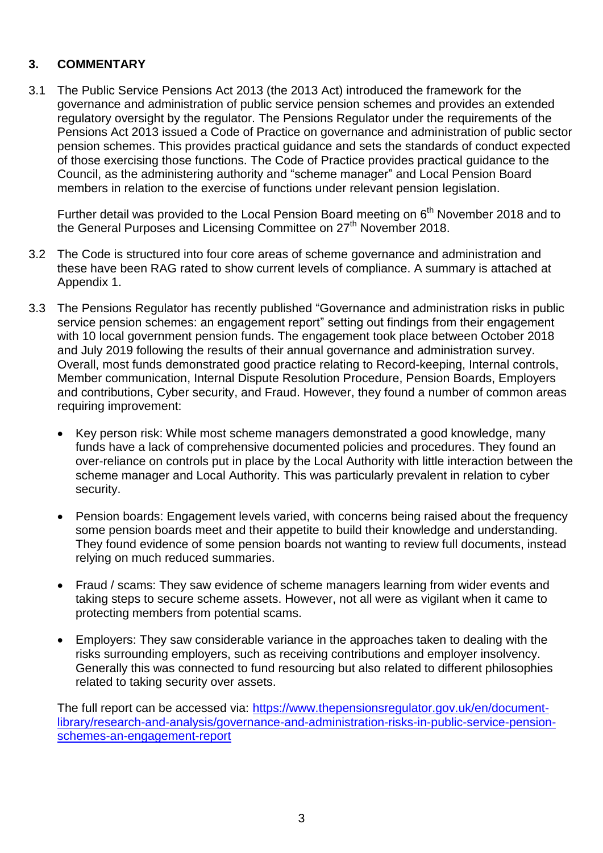## **3. COMMENTARY**

3.1 The Public Service Pensions Act 2013 (the 2013 Act) introduced the framework for the governance and administration of public service pension schemes and provides an extended regulatory oversight by the regulator. The Pensions Regulator under the requirements of the Pensions Act 2013 issued a Code of Practice on governance and administration of public sector pension schemes. This provides practical guidance and sets the standards of conduct expected of those exercising those functions. The Code of Practice provides practical guidance to the Council, as the administering authority and "scheme manager" and Local Pension Board members in relation to the exercise of functions under relevant pension legislation.

Further detail was provided to the Local Pension Board meeting on 6<sup>th</sup> November 2018 and to the General Purposes and Licensing Committee on 27<sup>th</sup> November 2018.

- 3.2 The Code is structured into four core areas of scheme governance and administration and these have been RAG rated to show current levels of compliance. A summary is attached at Appendix 1.
- 3.3 The Pensions Regulator has recently published "Governance and administration risks in public service pension schemes: an engagement report" setting out findings from their engagement with 10 local government pension funds. The engagement took place between October 2018 and July 2019 following the results of their annual governance and administration survey. Overall, most funds demonstrated good practice relating to Record-keeping, Internal controls, Member communication, Internal Dispute Resolution Procedure, Pension Boards, Employers and contributions, Cyber security, and Fraud. However, they found a number of common areas requiring improvement:
	- Key person risk: While most scheme managers demonstrated a good knowledge, many funds have a lack of comprehensive documented policies and procedures. They found an over-reliance on controls put in place by the Local Authority with little interaction between the scheme manager and Local Authority. This was particularly prevalent in relation to cyber security.
	- Pension boards: Engagement levels varied, with concerns being raised about the frequency some pension boards meet and their appetite to build their knowledge and understanding. They found evidence of some pension boards not wanting to review full documents, instead relying on much reduced summaries.
	- Fraud / scams: They saw evidence of scheme managers learning from wider events and taking steps to secure scheme assets. However, not all were as vigilant when it came to protecting members from potential scams.
	- Employers: They saw considerable variance in the approaches taken to dealing with the risks surrounding employers, such as receiving contributions and employer insolvency. Generally this was connected to fund resourcing but also related to different philosophies related to taking security over assets.

The full report can be accessed via: [https://www.thepensionsregulator.gov.uk/en/document](https://www.thepensionsregulator.gov.uk/en/document-library/research-and-analysis/governance-and-administration-risks-in-public-service-pension-schemes-an-engagement-report)[library/research-and-analysis/governance-and-administration-risks-in-public-service-pension](https://www.thepensionsregulator.gov.uk/en/document-library/research-and-analysis/governance-and-administration-risks-in-public-service-pension-schemes-an-engagement-report)[schemes-an-engagement-report](https://www.thepensionsregulator.gov.uk/en/document-library/research-and-analysis/governance-and-administration-risks-in-public-service-pension-schemes-an-engagement-report)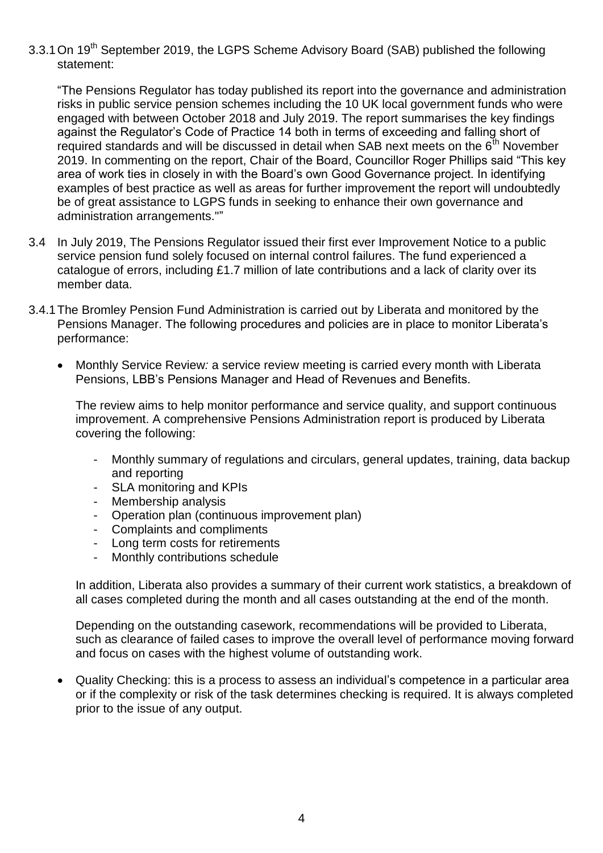3.3.1 On 19<sup>th</sup> September 2019, the LGPS Scheme Advisory Board (SAB) published the following statement:

"The Pensions Regulator has today published its report into the governance and administration risks in public service pension schemes including the 10 UK local government funds who were engaged with between October 2018 and July 2019. The report summarises the key findings against the Regulator's Code of Practice 14 both in terms of exceeding and falling short of required standards and will be discussed in detail when SAB next meets on the  $6<sup>th</sup>$  November 2019. In commenting on the report, Chair of the Board, Councillor Roger Phillips said "This key area of work ties in closely in with the Board's own Good Governance project. In identifying examples of best practice as well as areas for further improvement the report will undoubtedly be of great assistance to LGPS funds in seeking to enhance their own governance and administration arrangements.""

- 3.4 In July 2019, The Pensions Regulator issued their first ever Improvement Notice to a public service pension fund solely focused on internal control failures. The fund experienced a catalogue of errors, including £1.7 million of late contributions and a lack of clarity over its member data.
- 3.4.1The Bromley Pension Fund Administration is carried out by Liberata and monitored by the Pensions Manager. The following procedures and policies are in place to monitor Liberata's performance:
	- Monthly Service Review*:* a service review meeting is carried every month with Liberata Pensions, LBB's Pensions Manager and Head of Revenues and Benefits.

The review aims to help monitor performance and service quality, and support continuous improvement. A comprehensive Pensions Administration report is produced by Liberata covering the following:

- Monthly summary of regulations and circulars, general updates, training, data backup and reporting
- SLA monitoring and KPIs
- Membership analysis
- Operation plan (continuous improvement plan)<br>- Complaints and compliments
- Complaints and compliments
- Long term costs for retirements
- Monthly contributions schedule

In addition, Liberata also provides a summary of their current work statistics, a breakdown of all cases completed during the month and all cases outstanding at the end of the month.

Depending on the outstanding casework, recommendations will be provided to Liberata, such as clearance of failed cases to improve the overall level of performance moving forward and focus on cases with the highest volume of outstanding work.

 Quality Checking: this is a process to assess an individual's competence in a particular area or if the complexity or risk of the task determines checking is required. It is always completed prior to the issue of any output.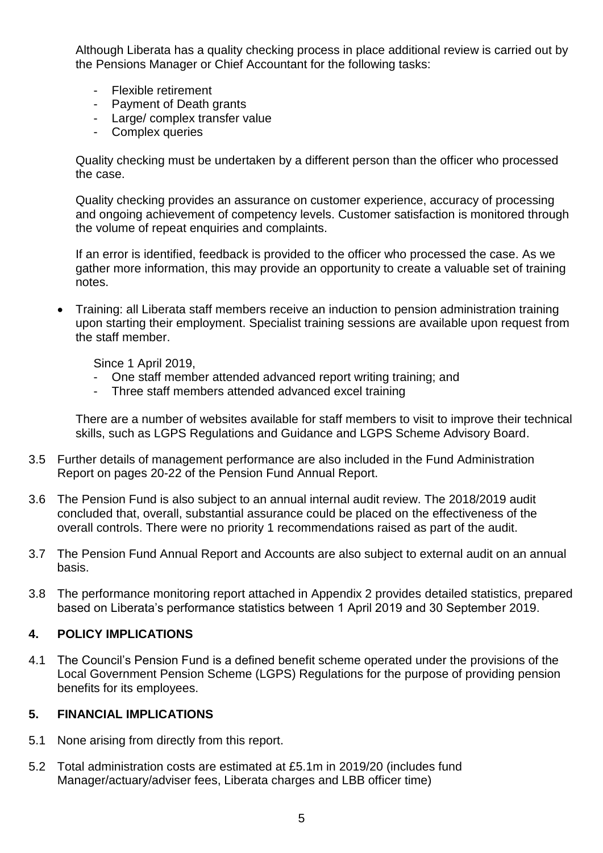Although Liberata has a quality checking process in place additional review is carried out by the Pensions Manager or Chief Accountant for the following tasks:

- Flexible retirement
- Payment of Death grants
- Large/ complex transfer value
- Complex queries

Quality checking must be undertaken by a different person than the officer who processed the case.

Quality checking provides an assurance on customer experience, accuracy of processing and ongoing achievement of competency levels. Customer satisfaction is monitored through the volume of repeat enquiries and complaints.

If an error is identified, feedback is provided to the officer who processed the case. As we gather more information, this may provide an opportunity to create a valuable set of training notes.

 Training: all Liberata staff members receive an induction to pension administration training upon starting their employment. Specialist training sessions are available upon request from the staff member.

Since 1 April 2019,

- One staff member attended advanced report writing training; and
- Three staff members attended advanced excel training

There are a number of websites available for staff members to visit to improve their technical skills, such as LGPS Regulations and Guidance and LGPS Scheme Advisory Board.

- 3.5 Further details of management performance are also included in the Fund Administration Report on pages 20-22 of the Pension Fund Annual Report.
- 3.6 The Pension Fund is also subject to an annual internal audit review. The 2018/2019 audit concluded that, overall, substantial assurance could be placed on the effectiveness of the overall controls. There were no priority 1 recommendations raised as part of the audit.
- 3.7 The Pension Fund Annual Report and Accounts are also subject to external audit on an annual basis.
- 3.8 The performance monitoring report attached in Appendix 2 provides detailed statistics, prepared based on Liberata's performance statistics between 1 April 2019 and 30 September 2019.

#### **4. POLICY IMPLICATIONS**

4.1 The Council's Pension Fund is a defined benefit scheme operated under the provisions of the Local Government Pension Scheme (LGPS) Regulations for the purpose of providing pension benefits for its employees.

#### **5. FINANCIAL IMPLICATIONS**

- 5.1 None arising from directly from this report.
- 5.2 Total administration costs are estimated at £5.1m in 2019/20 (includes fund Manager/actuary/adviser fees, Liberata charges and LBB officer time)